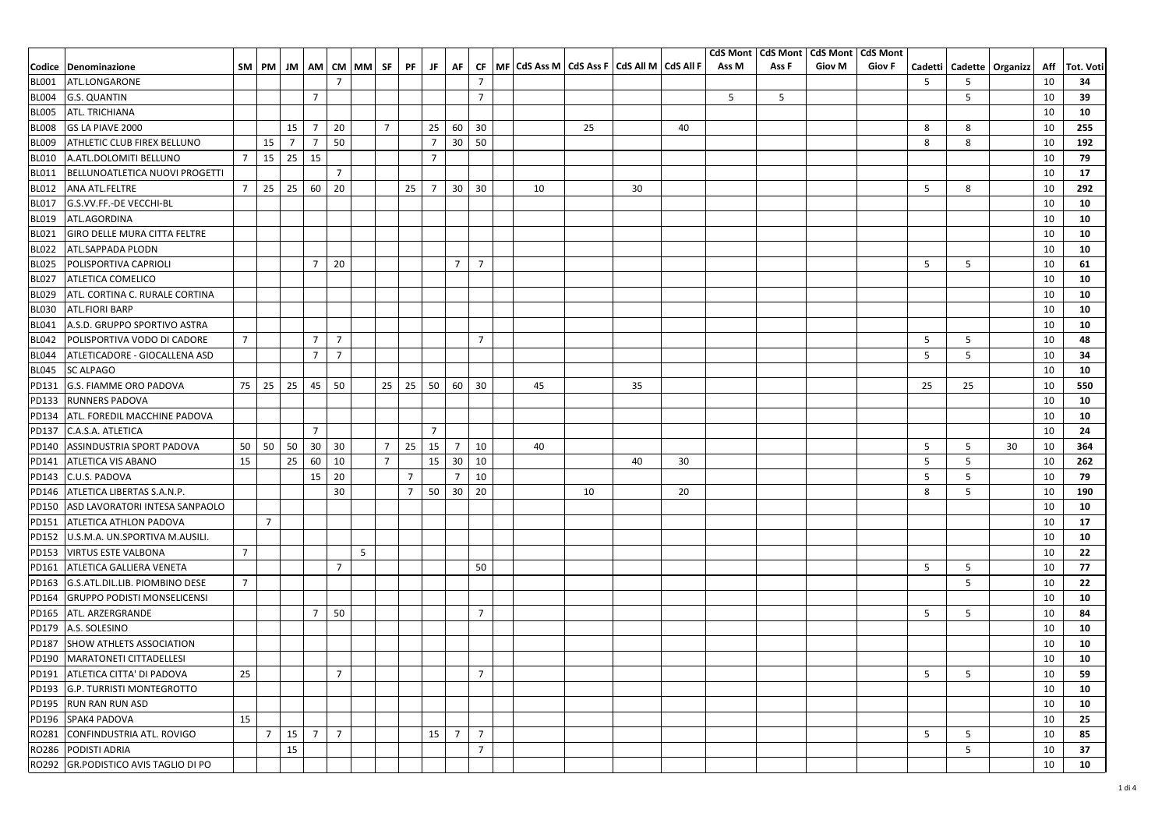|              |                                     |                |                 |                |                 |                |             |                 |                           |                |                |                 |                                                         |    |    |    | <b>CdS Mont</b>  |       | <b>CdS Mont   CdS Mont</b> | <b>CdS Mont</b> |        |        |                              |     |           |
|--------------|-------------------------------------|----------------|-----------------|----------------|-----------------|----------------|-------------|-----------------|---------------------------|----------------|----------------|-----------------|---------------------------------------------------------|----|----|----|------------------|-------|----------------------------|-----------------|--------|--------|------------------------------|-----|-----------|
|              | Codice Denominazione                |                | SM PM           | JM             |                 |                | AM CM MM SF |                 | PF                        | JF.            | AF             |                 | CF   MF   CdS Ass M   CdS Ass F   CdS All M   CdS All F |    |    |    | Ass <sub>M</sub> | Ass F | <b>Giov M</b>              | <b>Giov F</b>   |        |        | Cadetti   Cadette   Organizz | Aff | Tot. Voti |
| <b>BL001</b> | ATL.LONGARONE                       |                |                 |                |                 | $\overline{7}$ |             |                 |                           |                |                | $\overline{7}$  |                                                         |    |    |    |                  |       |                            |                 | 5      | 5      |                              | 10  | 34        |
| <b>BL004</b> | <b>G.S. QUANTIN</b>                 |                |                 |                | $\overline{7}$  |                |             |                 |                           |                |                | $7\overline{ }$ |                                                         |    |    |    | 5                | 5     |                            |                 |        | 5      |                              | 10  | 39        |
| <b>BL005</b> | ATL. TRICHIANA                      |                |                 |                |                 |                |             |                 |                           |                |                |                 |                                                         |    |    |    |                  |       |                            |                 |        |        |                              | 10  | 10        |
| <b>BL008</b> | GS LA PIAVE 2000                    |                |                 | 15             | $\overline{7}$  | 20             |             | $\overline{7}$  |                           | 25             | 60             | 30              |                                                         | 25 |    | 40 |                  |       |                            |                 | 8      | 8      |                              | 10  | 255       |
| <b>BL009</b> | ATHLETIC CLUB FIREX BELLUNO         |                | 15              | $\overline{7}$ | $\overline{7}$  | 50             |             |                 |                           | $\overline{7}$ | 30             | 50              |                                                         |    |    |    |                  |       |                            |                 | 8      | 8      |                              | 10  | 192       |
| <b>BL010</b> | A.ATL.DOLOMITI BELLUNO              | $7^{\circ}$    | 15              | 25             | 15              |                |             |                 |                           | $\overline{7}$ |                |                 |                                                         |    |    |    |                  |       |                            |                 |        |        |                              | 10  | 79        |
| <b>BL011</b> | BELLUNOATLETICA NUOVI PROGETTI      |                |                 |                |                 | $\overline{7}$ |             |                 |                           |                |                |                 |                                                         |    |    |    |                  |       |                            |                 |        |        |                              | 10  | 17        |
| <b>BL012</b> | ANA ATL.FELTRE                      |                | $7 \mid 25$     | 25             | 60              | 20             |             |                 | 25                        | $\overline{7}$ | 30             | 30              | 10                                                      |    | 30 |    |                  |       |                            |                 | 5      | 8      |                              | 10  | 292       |
| <b>BL017</b> | G.S.VV.FF.-DE VECCHI-BL             |                |                 |                |                 |                |             |                 |                           |                |                |                 |                                                         |    |    |    |                  |       |                            |                 |        |        |                              | 10  | 10        |
| <b>BL019</b> | ATL.AGORDINA                        |                |                 |                |                 |                |             |                 |                           |                |                |                 |                                                         |    |    |    |                  |       |                            |                 |        |        |                              | 10  | 10        |
| BL021        | <b>GIRO DELLE MURA CITTA FELTRE</b> |                |                 |                |                 |                |             |                 |                           |                |                |                 |                                                         |    |    |    |                  |       |                            |                 |        |        |                              | 10  | 10        |
| <b>BL022</b> | ATL.SAPPADA PLODN                   |                |                 |                |                 |                |             |                 |                           |                |                |                 |                                                         |    |    |    |                  |       |                            |                 |        |        |                              | 10  | 10        |
| <b>BL025</b> | POLISPORTIVA CAPRIOLI               |                |                 |                | $7\overline{ }$ | 20             |             |                 |                           |                | $7^{\circ}$    | $\overline{7}$  |                                                         |    |    |    |                  |       |                            |                 | 5      | 5      |                              | 10  | 61        |
| <b>BL027</b> | ATLETICA COMELICO                   |                |                 |                |                 |                |             |                 |                           |                |                |                 |                                                         |    |    |    |                  |       |                            |                 |        |        |                              | 10  | 10        |
| <b>BL029</b> | ATL. CORTINA C. RURALE CORTINA      |                |                 |                |                 |                |             |                 |                           |                |                |                 |                                                         |    |    |    |                  |       |                            |                 |        |        |                              | 10  | 10        |
| <b>BL030</b> | <b>ATL.FIORI BARP</b>               |                |                 |                |                 |                |             |                 |                           |                |                |                 |                                                         |    |    |    |                  |       |                            |                 |        |        |                              | 10  | 10        |
|              |                                     |                |                 |                |                 |                |             |                 |                           |                |                |                 |                                                         |    |    |    |                  |       |                            |                 |        |        |                              | 10  | 10        |
| BL041        | A.S.D. GRUPPO SPORTIVO ASTRA        | $\overline{7}$ |                 |                | $\overline{7}$  | $\overline{7}$ |             |                 |                           |                |                | $\overline{7}$  |                                                         |    |    |    |                  |       |                            |                 |        |        |                              |     |           |
| <b>BL042</b> | POLISPORTIVA VODO DI CADORE         |                |                 |                | $\overline{7}$  | $\overline{7}$ |             |                 |                           |                |                |                 |                                                         |    |    |    |                  |       |                            |                 | 5<br>5 | 5<br>5 |                              | 10  | 48        |
| <b>BL044</b> | ATLETICADORE - GIOCALLENA ASD       |                |                 |                |                 |                |             |                 |                           |                |                |                 |                                                         |    |    |    |                  |       |                            |                 |        |        |                              | 10  | 34        |
| <b>BL045</b> | <b>SC ALPAGO</b>                    |                |                 |                |                 |                |             |                 |                           |                |                |                 |                                                         |    |    |    |                  |       |                            |                 |        |        |                              | 10  | 10        |
| PD131        | G.S. FIAMME ORO PADOVA              |                | 75 25 25        |                | 45              | 50             |             |                 | $25 \mid 25 \mid 50 \mid$ |                | 60             | 30              | 45                                                      |    | 35 |    |                  |       |                            |                 | 25     | 25     |                              | 10  | 550       |
| PD133        | <b>RUNNERS PADOVA</b>               |                |                 |                |                 |                |             |                 |                           |                |                |                 |                                                         |    |    |    |                  |       |                            |                 |        |        |                              | 10  | 10        |
| PD134        | ATL. FOREDIL MACCHINE PADOVA        |                |                 |                |                 |                |             |                 |                           |                |                |                 |                                                         |    |    |    |                  |       |                            |                 |        |        |                              | 10  | 10        |
| PD137        | C.A.S.A. ATLETICA                   |                |                 |                | $\overline{7}$  |                |             |                 |                           | $\overline{7}$ |                |                 |                                                         |    |    |    |                  |       |                            |                 |        |        |                              | 10  | 24        |
| PD140        | ASSINDUSTRIA SPORT PADOVA           |                | 50 50           | 50             | 30              | 30             |             | $7\overline{ }$ | 25                        | 15             | $\overline{7}$ | 10              | 40                                                      |    |    |    |                  |       |                            |                 | 5      | 5      | 30                           | 10  | 364       |
| PD141        | ATLETICA VIS ABANO                  | 15             |                 | 25             | 60              | 10             |             | $\overline{7}$  |                           | 15             | 30             | 10              |                                                         |    | 40 | 30 |                  |       |                            |                 | 5      | 5      |                              | 10  | 262       |
| PD143        | C.U.S. PADOVA                       |                |                 |                | 15              | 20             |             |                 | $\overline{7}$            |                | $\overline{7}$ | 10              |                                                         |    |    |    |                  |       |                            |                 | 5      | 5      |                              | 10  | 79        |
| PD146        | ATLETICA LIBERTAS S.A.N.P.          |                |                 |                |                 | 30             |             |                 | $\overline{7}$            | 50             | 30             | 20              |                                                         | 10 |    | 20 |                  |       |                            |                 | 8      | 5      |                              | 10  | 190       |
| PD150        | ASD LAVORATORI INTESA SANPAOLO      |                |                 |                |                 |                |             |                 |                           |                |                |                 |                                                         |    |    |    |                  |       |                            |                 |        |        |                              | 10  | 10        |
| PD151        | ATLETICA ATHLON PADOVA              |                | $\overline{7}$  |                |                 |                |             |                 |                           |                |                |                 |                                                         |    |    |    |                  |       |                            |                 |        |        |                              | 10  | 17        |
| PD152        | U.S.M.A. UN.SPORTIVA M.AUSILI.      |                |                 |                |                 |                |             |                 |                           |                |                |                 |                                                         |    |    |    |                  |       |                            |                 |        |        |                              | 10  | 10        |
| PD153        | <b>VIRTUS ESTE VALBONA</b>          | $\overline{7}$ |                 |                |                 |                | 5           |                 |                           |                |                |                 |                                                         |    |    |    |                  |       |                            |                 |        |        |                              | 10  | 22        |
| PD161        | ATLETICA GALLIERA VENETA            |                |                 |                |                 | $\overline{7}$ |             |                 |                           |                |                | 50              |                                                         |    |    |    |                  |       |                            |                 | 5      | 5      |                              | 10  | 77        |
| PD163        | G.S.ATL.DIL.LIB. PIOMBINO DESE      | $\overline{7}$ |                 |                |                 |                |             |                 |                           |                |                |                 |                                                         |    |    |    |                  |       |                            |                 |        | 5      |                              | 10  | 22        |
| PD164        | <b>GRUPPO PODISTI MONSELICENSI</b>  |                |                 |                |                 |                |             |                 |                           |                |                |                 |                                                         |    |    |    |                  |       |                            |                 |        |        |                              | 10  | 10        |
| PD165        | ATL. ARZERGRANDE                    |                |                 |                | $\overline{7}$  | 50             |             |                 |                           |                |                | $\overline{7}$  |                                                         |    |    |    |                  |       |                            |                 | 5      | 5      |                              | 10  | 84        |
| PD179        | A.S. SOLESINO                       |                |                 |                |                 |                |             |                 |                           |                |                |                 |                                                         |    |    |    |                  |       |                            |                 |        |        |                              | 10  | 10        |
| PD187        | SHOW ATHLETS ASSOCIATION            |                |                 |                |                 |                |             |                 |                           |                |                |                 |                                                         |    |    |    |                  |       |                            |                 |        |        |                              | 10  | 10        |
| PD190        | <b>MARATONETI CITTADELLESI</b>      |                |                 |                |                 |                |             |                 |                           |                |                |                 |                                                         |    |    |    |                  |       |                            |                 |        |        |                              | 10  | 10        |
| PD191        | ATLETICA CITTA' DI PADOVA           | 25             |                 |                |                 | $\overline{7}$ |             |                 |                           |                |                | $\overline{7}$  |                                                         |    |    |    |                  |       |                            |                 | 5      | 5      |                              | 10  | 59        |
| PD193        | G.P. TURRISTI MONTEGROTTO           |                |                 |                |                 |                |             |                 |                           |                |                |                 |                                                         |    |    |    |                  |       |                            |                 |        |        |                              | 10  | 10        |
| PD195        | <b>RUN RAN RUN ASD</b>              |                |                 |                |                 |                |             |                 |                           |                |                |                 |                                                         |    |    |    |                  |       |                            |                 |        |        |                              | 10  | 10        |
| PD196        | SPAK4 PADOVA                        | 15             |                 |                |                 |                |             |                 |                           |                |                |                 |                                                         |    |    |    |                  |       |                            |                 |        |        |                              | 10  | 25        |
| RO281        | CONFINDUSTRIA ATL. ROVIGO           |                | $7\overline{ }$ | 15             | $\overline{7}$  | $\overline{7}$ |             |                 |                           | 15             | $\overline{7}$ | $\overline{7}$  |                                                         |    |    |    |                  |       |                            |                 | 5      | 5      |                              | 10  | 85        |
| RO286        | PODISTI ADRIA                       |                |                 | 15             |                 |                |             |                 |                           |                |                | $\overline{7}$  |                                                         |    |    |    |                  |       |                            |                 |        | 5      |                              | 10  | 37        |
|              |                                     |                |                 |                |                 |                |             |                 |                           |                |                |                 |                                                         |    |    |    |                  |       |                            |                 |        |        |                              |     |           |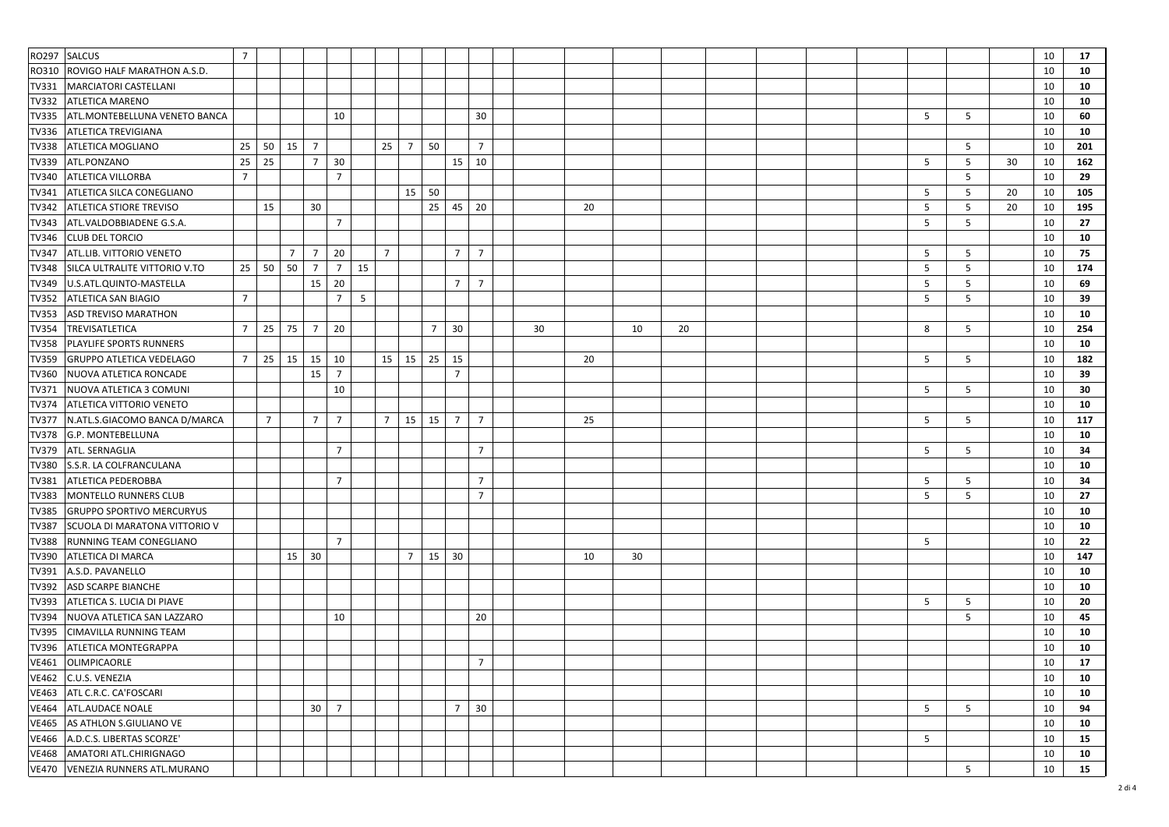|              | RO297 SALCUS                       | $\overline{7}$  |                |                |                |                |    |                 |                 |                |                |                |    |    |    |    |  |  |   |   |    | 10 | 17  |
|--------------|------------------------------------|-----------------|----------------|----------------|----------------|----------------|----|-----------------|-----------------|----------------|----------------|----------------|----|----|----|----|--|--|---|---|----|----|-----|
| RO310        | <b>ROVIGO HALF MARATHON A.S.D.</b> |                 |                |                |                |                |    |                 |                 |                |                |                |    |    |    |    |  |  |   |   |    | 10 | 10  |
| TV331        | MARCIATORI CASTELLANI              |                 |                |                |                |                |    |                 |                 |                |                |                |    |    |    |    |  |  |   |   |    | 10 | 10  |
| <b>TV332</b> | <b>ATLETICA MARENO</b>             |                 |                |                |                |                |    |                 |                 |                |                |                |    |    |    |    |  |  |   |   |    | 10 | 10  |
| <b>TV335</b> | ATL.MONTEBELLUNA VENETO BANCA      |                 |                |                |                | 10             |    |                 |                 |                |                | 30             |    |    |    |    |  |  | 5 | 5 |    | 10 | 60  |
| TV336        | <b>ATLETICA TREVIGIANA</b>         |                 |                |                |                |                |    |                 |                 |                |                |                |    |    |    |    |  |  |   |   |    | 10 | 10  |
| <b>TV338</b> | ATLETICA MOGLIANO                  | 25              | 50             | 15             | $\overline{7}$ |                |    | 25 <sub>1</sub> | $7\overline{ }$ | 50             |                | $\overline{7}$ |    |    |    |    |  |  |   | 5 |    | 10 | 201 |
| <b>TV339</b> | ATL.PONZANO                        | 25              | 25             |                | $\overline{7}$ | 30             |    |                 |                 |                | 15             | 10             |    |    |    |    |  |  | 5 | 5 | 30 | 10 | 162 |
| TV340        | <b>ATLETICA VILLORBA</b>           | $\overline{7}$  |                |                |                | $\overline{7}$ |    |                 |                 |                |                |                |    |    |    |    |  |  |   | 5 |    | 10 | 29  |
| TV341        | <b>ATLETICA SILCA CONEGLIANO</b>   |                 |                |                |                |                |    |                 |                 | $15 \mid 50$   |                |                |    |    |    |    |  |  | 5 | 5 | 20 | 10 | 105 |
| TV342        | <b>ATLETICA STIORE TREVISO</b>     |                 | 15             |                | 30             |                |    |                 |                 | 25             | 45             | 20             |    | 20 |    |    |  |  | 5 | 5 | 20 | 10 | 195 |
| TV343        | ATL.VALDOBBIADENE G.S.A.           |                 |                |                |                | $\overline{7}$ |    |                 |                 |                |                |                |    |    |    |    |  |  | 5 | 5 |    | 10 | 27  |
| TV346        | <b>CLUB DEL TORCIO</b>             |                 |                |                |                |                |    |                 |                 |                |                |                |    |    |    |    |  |  |   |   |    | 10 | 10  |
| <b>TV347</b> | <b>ATL.LIB. VITTORIO VENETO</b>    |                 |                | $\overline{7}$ | $\overline{7}$ | 20             |    | $\overline{7}$  |                 |                | $\overline{7}$ | $\overline{7}$ |    |    |    |    |  |  | 5 | 5 |    | 10 | 75  |
| <b>TV348</b> | SILCA ULTRALITE VITTORIO V.TO      | 25 <sub>1</sub> | 50             | 50             | $\overline{7}$ | $\overline{7}$ | 15 |                 |                 |                |                |                |    |    |    |    |  |  | 5 | 5 |    | 10 | 174 |
| TV349        | U.S.ATL.QUINTO-MASTELLA            |                 |                |                | 15             | 20             |    |                 |                 |                | $7^{\circ}$    | $\overline{7}$ |    |    |    |    |  |  | 5 | 5 |    | 10 | 69  |
| <b>TV352</b> | <b>ATLETICA SAN BIAGIO</b>         | $\overline{7}$  |                |                |                | $\overline{7}$ | 5  |                 |                 |                |                |                |    |    |    |    |  |  | 5 | 5 |    | 10 | 39  |
| <b>TV353</b> | ASD TREVISO MARATHON               |                 |                |                |                |                |    |                 |                 |                |                |                |    |    |    |    |  |  |   |   |    | 10 | 10  |
| <b>TV354</b> | TREVISATLETICA                     | $\overline{7}$  | 25             | 75             | $\overline{7}$ | 20             |    |                 |                 | $\overline{7}$ | 30             |                | 30 |    | 10 | 20 |  |  | 8 | 5 |    | 10 | 254 |
| <b>TV358</b> | PLAYLIFE SPORTS RUNNERS            |                 |                |                |                |                |    |                 |                 |                |                |                |    |    |    |    |  |  |   |   |    | 10 | 10  |
| TV359        | <b>GRUPPO ATLETICA VEDELAGO</b>    | $7^{\circ}$     | 25             | 15             | 15             | 10             |    |                 | $15 \mid 15$    | 25             | 15             |                |    | 20 |    |    |  |  | 5 | 5 |    | 10 | 182 |
| TV360        | NUOVA ATLETICA RONCADE             |                 |                |                | 15             | $\overline{7}$ |    |                 |                 |                | $\overline{7}$ |                |    |    |    |    |  |  |   |   |    | 10 | 39  |
| TV371        | NUOVA ATLETICA 3 COMUNI            |                 |                |                |                | 10             |    |                 |                 |                |                |                |    |    |    |    |  |  | 5 | 5 |    | 10 | 30  |
| <b>TV374</b> | <b>ATLETICA VITTORIO VENETO</b>    |                 |                |                |                |                |    |                 |                 |                |                |                |    |    |    |    |  |  |   |   |    | 10 | 10  |
| <b>TV377</b> | N.ATL.S.GIACOMO BANCA D/MARCA      |                 | $\overline{7}$ |                | $\overline{7}$ | $\overline{7}$ |    | $\overline{7}$  | 15              | 15             | 7              | $\overline{7}$ |    | 25 |    |    |  |  | 5 | 5 |    | 10 | 117 |
| TV378        | G.P. MONTEBELLUNA                  |                 |                |                |                |                |    |                 |                 |                |                |                |    |    |    |    |  |  |   |   |    | 10 | 10  |
| TV379        | ATL. SERNAGLIA                     |                 |                |                |                | $\overline{7}$ |    |                 |                 |                |                | $\overline{7}$ |    |    |    |    |  |  | 5 | 5 |    | 10 | 34  |
| TV380        | S.S.R. LA COLFRANCULANA            |                 |                |                |                |                |    |                 |                 |                |                |                |    |    |    |    |  |  |   |   |    | 10 | 10  |
| <b>TV381</b> | ATLETICA PEDEROBBA                 |                 |                |                |                | $\overline{7}$ |    |                 |                 |                |                | $\overline{7}$ |    |    |    |    |  |  | 5 | 5 |    | 10 | 34  |
| <b>TV383</b> | MONTELLO RUNNERS CLUB              |                 |                |                |                |                |    |                 |                 |                |                | $\overline{7}$ |    |    |    |    |  |  | 5 | 5 |    | 10 | 27  |
| <b>TV385</b> | <b>GRUPPO SPORTIVO MERCURYUS</b>   |                 |                |                |                |                |    |                 |                 |                |                |                |    |    |    |    |  |  |   |   |    | 10 | 10  |
| <b>TV387</b> | SCUOLA DI MARATONA VITTORIO V      |                 |                |                |                |                |    |                 |                 |                |                |                |    |    |    |    |  |  |   |   |    | 10 | 10  |
| <b>TV388</b> | RUNNING TEAM CONEGLIANO            |                 |                |                |                | $\overline{7}$ |    |                 |                 |                |                |                |    |    |    |    |  |  | 5 |   |    | 10 | 22  |
| <b>TV390</b> | <b>ATLETICA DI MARCA</b>           |                 |                | 15             | 30             |                |    |                 | $\overline{7}$  | 15             | 30             |                |    | 10 | 30 |    |  |  |   |   |    | 10 | 147 |
| TV391        | A.S.D. PAVANELLO                   |                 |                |                |                |                |    |                 |                 |                |                |                |    |    |    |    |  |  |   |   |    | 10 | 10  |
| <b>TV392</b> | <b>ASD SCARPE BIANCHE</b>          |                 |                |                |                |                |    |                 |                 |                |                |                |    |    |    |    |  |  |   |   |    | 10 | 10  |
| TV393        | ATLETICA S. LUCIA DI PIAVE         |                 |                |                |                |                |    |                 |                 |                |                |                |    |    |    |    |  |  | 5 | 5 |    | 10 | 20  |
| <b>TV394</b> | NUOVA ATLETICA SAN LAZZARO         |                 |                |                |                | 10             |    |                 |                 |                |                | 20             |    |    |    |    |  |  |   | 5 |    | 10 | 45  |
| TV395        | <b>CIMAVILLA RUNNING TEAM</b>      |                 |                |                |                |                |    |                 |                 |                |                |                |    |    |    |    |  |  |   |   |    | 10 | 10  |
| TV396        | ATLETICA MONTEGRAPPA               |                 |                |                |                |                |    |                 |                 |                |                |                |    |    |    |    |  |  |   |   |    | 10 | 10  |
| <b>VE461</b> | <b>OLIMPICAORLE</b>                |                 |                |                |                |                |    |                 |                 |                |                | $\overline{7}$ |    |    |    |    |  |  |   |   |    | 10 | 17  |
|              | VE462 C.U.S. VENEZIA               |                 |                |                |                |                |    |                 |                 |                |                |                |    |    |    |    |  |  |   |   |    | 10 | 10  |
| <b>VE463</b> | ATL C.R.C. CA'FOSCARI              |                 |                |                |                |                |    |                 |                 |                |                |                |    |    |    |    |  |  |   |   |    | 10 | 10  |
|              | VE464 ATL.AUDACE NOALE             |                 |                |                |                | $30 \mid 7$    |    |                 |                 |                | 7 <sup>1</sup> | 30             |    |    |    |    |  |  | 5 | 5 |    | 10 | 94  |
|              | VE465 AS ATHLON S.GIULIANO VE      |                 |                |                |                |                |    |                 |                 |                |                |                |    |    |    |    |  |  |   |   |    | 10 | 10  |
|              | VE466   A.D.C.S. LIBERTAS SCORZE'  |                 |                |                |                |                |    |                 |                 |                |                |                |    |    |    |    |  |  | 5 |   |    | 10 | 15  |
|              | VE468 AMATORI ATL.CHIRIGNAGO       |                 |                |                |                |                |    |                 |                 |                |                |                |    |    |    |    |  |  |   |   |    | 10 | 10  |
|              | VE470 VENEZIA RUNNERS ATL.MURANO   |                 |                |                |                |                |    |                 |                 |                |                |                |    |    |    |    |  |  |   | 5 |    | 10 | 15  |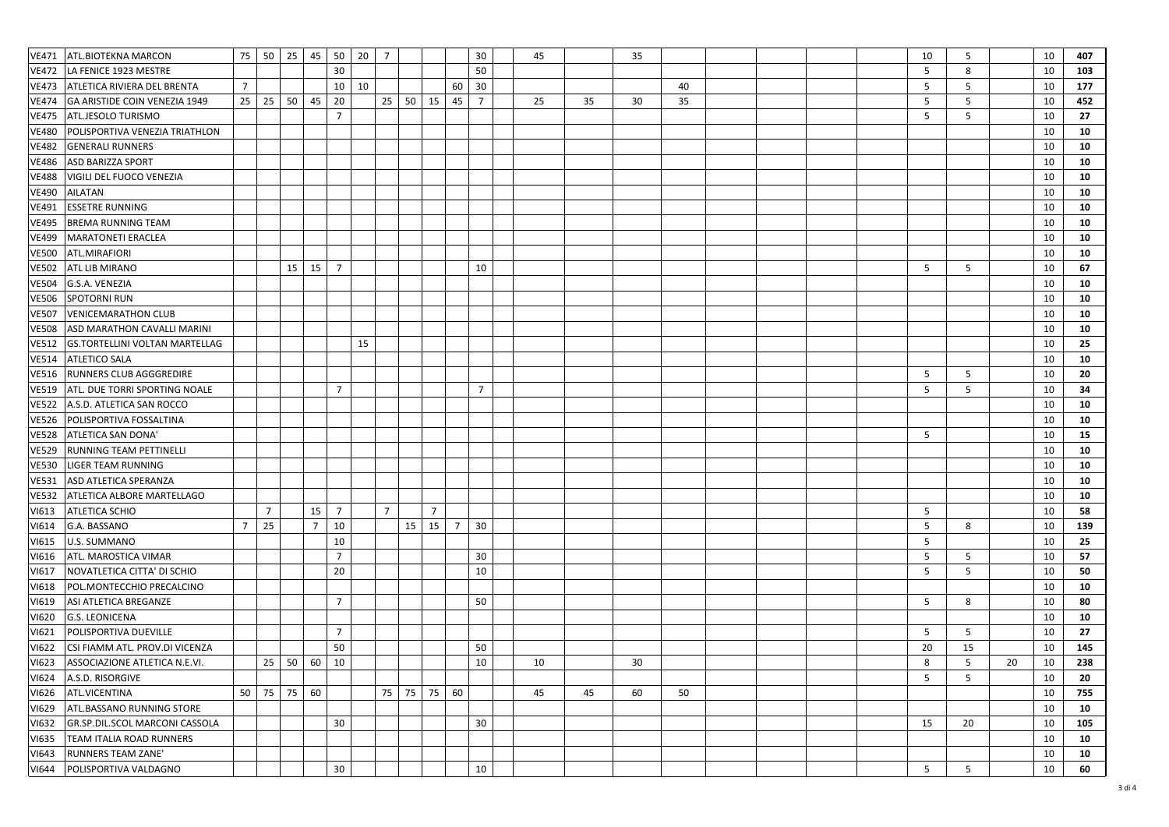| 30<br>50<br>5<br>8<br>LA FENICE 1923 MESTRE<br>10<br><b>VE472</b><br>5<br>ATLETICA RIVIERA DEL BRENTA<br>10<br>10<br>30<br>5<br>10<br>7<br>60<br>40<br><b>VE473</b><br>20<br>45<br>5<br>5<br>25<br>25<br>50<br>45<br>25<br>50<br>15<br>$\overline{7}$<br>35<br>30<br>10<br>GA ARISTIDE COIN VENEZIA 1949<br>25<br>35<br><b>VE474</b><br>ATL.JESOLO TURISMO<br>$\overline{7}$<br>5<br>5<br>10<br><b>VE475</b><br>POLISPORTIVA VENEZIA TRIATHLON<br>10<br><b>VE480</b><br>10<br><b>GENERALI RUNNERS</b><br><b>VE482</b><br>10<br><b>ASD BARIZZA SPORT</b><br><b>VE486</b><br>VIGILI DEL FUOCO VENEZIA<br>10<br><b>VE488</b><br>AILATAN<br>10<br><b>VE490</b><br><b>ESSETRE RUNNING</b><br>10<br><b>VE491</b><br><b>BREMA RUNNING TEAM</b><br>10<br><b>VE495</b><br>10<br><b>VE499</b><br><b>MARATONETI ERACLEA</b><br>10<br>ATL.MIRAFIORI<br><b>VE500</b><br>15<br>$\overline{7}$<br>15<br>10<br>5<br>5<br>10<br><b>VE502</b><br>ATL LIB MIRANO<br>G.S.A. VENEZIA<br>10<br><b>VE504</b> | 407        |
|---------------------------------------------------------------------------------------------------------------------------------------------------------------------------------------------------------------------------------------------------------------------------------------------------------------------------------------------------------------------------------------------------------------------------------------------------------------------------------------------------------------------------------------------------------------------------------------------------------------------------------------------------------------------------------------------------------------------------------------------------------------------------------------------------------------------------------------------------------------------------------------------------------------------------------------------------------------------------------------|------------|
|                                                                                                                                                                                                                                                                                                                                                                                                                                                                                                                                                                                                                                                                                                                                                                                                                                                                                                                                                                                       | 103        |
|                                                                                                                                                                                                                                                                                                                                                                                                                                                                                                                                                                                                                                                                                                                                                                                                                                                                                                                                                                                       | 177        |
|                                                                                                                                                                                                                                                                                                                                                                                                                                                                                                                                                                                                                                                                                                                                                                                                                                                                                                                                                                                       | 452        |
|                                                                                                                                                                                                                                                                                                                                                                                                                                                                                                                                                                                                                                                                                                                                                                                                                                                                                                                                                                                       | 27         |
|                                                                                                                                                                                                                                                                                                                                                                                                                                                                                                                                                                                                                                                                                                                                                                                                                                                                                                                                                                                       | 10         |
|                                                                                                                                                                                                                                                                                                                                                                                                                                                                                                                                                                                                                                                                                                                                                                                                                                                                                                                                                                                       | 10         |
|                                                                                                                                                                                                                                                                                                                                                                                                                                                                                                                                                                                                                                                                                                                                                                                                                                                                                                                                                                                       | 10         |
|                                                                                                                                                                                                                                                                                                                                                                                                                                                                                                                                                                                                                                                                                                                                                                                                                                                                                                                                                                                       | 10         |
|                                                                                                                                                                                                                                                                                                                                                                                                                                                                                                                                                                                                                                                                                                                                                                                                                                                                                                                                                                                       | 10         |
|                                                                                                                                                                                                                                                                                                                                                                                                                                                                                                                                                                                                                                                                                                                                                                                                                                                                                                                                                                                       | 10         |
|                                                                                                                                                                                                                                                                                                                                                                                                                                                                                                                                                                                                                                                                                                                                                                                                                                                                                                                                                                                       | 10         |
|                                                                                                                                                                                                                                                                                                                                                                                                                                                                                                                                                                                                                                                                                                                                                                                                                                                                                                                                                                                       | 10         |
|                                                                                                                                                                                                                                                                                                                                                                                                                                                                                                                                                                                                                                                                                                                                                                                                                                                                                                                                                                                       | ${\bf 10}$ |
|                                                                                                                                                                                                                                                                                                                                                                                                                                                                                                                                                                                                                                                                                                                                                                                                                                                                                                                                                                                       | 67         |
|                                                                                                                                                                                                                                                                                                                                                                                                                                                                                                                                                                                                                                                                                                                                                                                                                                                                                                                                                                                       | 10         |
| <b>SPOTORNI RUN</b><br>10<br><b>VE506</b>                                                                                                                                                                                                                                                                                                                                                                                                                                                                                                                                                                                                                                                                                                                                                                                                                                                                                                                                             | 10         |
| 10<br><b>VENICEMARATHON CLUB</b><br><b>VE507</b>                                                                                                                                                                                                                                                                                                                                                                                                                                                                                                                                                                                                                                                                                                                                                                                                                                                                                                                                      | 10         |
| 10<br><b>VE508</b><br>ASD MARATHON CAVALLI MARINI                                                                                                                                                                                                                                                                                                                                                                                                                                                                                                                                                                                                                                                                                                                                                                                                                                                                                                                                     | 10         |
| <b>GS.TORTELLINI VOLTAN MARTELLAG</b><br>10<br><b>VE512</b><br>15                                                                                                                                                                                                                                                                                                                                                                                                                                                                                                                                                                                                                                                                                                                                                                                                                                                                                                                     | 25         |
| 10<br><b>VE514</b><br><b>ATLETICO SALA</b>                                                                                                                                                                                                                                                                                                                                                                                                                                                                                                                                                                                                                                                                                                                                                                                                                                                                                                                                            | 10         |
| RUNNERS CLUB AGGGREDIRE<br><b>VE516</b><br>5<br>5<br>10                                                                                                                                                                                                                                                                                                                                                                                                                                                                                                                                                                                                                                                                                                                                                                                                                                                                                                                               | 20         |
| ATL. DUE TORRI SPORTING NOALE<br>$\overline{7}$<br>$\overline{7}$<br>5<br>5<br>10<br><b>VE519</b>                                                                                                                                                                                                                                                                                                                                                                                                                                                                                                                                                                                                                                                                                                                                                                                                                                                                                     | 34         |
| 10<br><b>VE522</b><br>A.S.D. ATLETICA SAN ROCCO                                                                                                                                                                                                                                                                                                                                                                                                                                                                                                                                                                                                                                                                                                                                                                                                                                                                                                                                       | 10         |
| 10<br>POLISPORTIVA FOSSALTINA<br><b>VE526</b>                                                                                                                                                                                                                                                                                                                                                                                                                                                                                                                                                                                                                                                                                                                                                                                                                                                                                                                                         | ${\bf 10}$ |
| ATLETICA SAN DONA'<br>5<br>10<br><b>VE528</b>                                                                                                                                                                                                                                                                                                                                                                                                                                                                                                                                                                                                                                                                                                                                                                                                                                                                                                                                         | 15         |
| 10<br><b>VE529</b><br>RUNNING TEAM PETTINELLI                                                                                                                                                                                                                                                                                                                                                                                                                                                                                                                                                                                                                                                                                                                                                                                                                                                                                                                                         | 10         |
| 10<br><b>VE530</b><br>LIGER TEAM RUNNING                                                                                                                                                                                                                                                                                                                                                                                                                                                                                                                                                                                                                                                                                                                                                                                                                                                                                                                                              | 10         |
| 10<br><b>VE531</b><br>ASD ATLETICA SPERANZA                                                                                                                                                                                                                                                                                                                                                                                                                                                                                                                                                                                                                                                                                                                                                                                                                                                                                                                                           | 10         |
| 10<br><b>VE532</b><br>ATLETICA ALBORE MARTELLAGO                                                                                                                                                                                                                                                                                                                                                                                                                                                                                                                                                                                                                                                                                                                                                                                                                                                                                                                                      | ${\bf 10}$ |
| <b>ATLETICA SCHIO</b><br>$\overline{7}$<br>$\overline{7}$<br>$\overline{7}$<br>10<br>15<br>$\overline{7}$<br>5<br>VI613                                                                                                                                                                                                                                                                                                                                                                                                                                                                                                                                                                                                                                                                                                                                                                                                                                                               | 58         |
| 25<br>$\overline{7}$<br>10<br>$\overline{7}$<br>5<br>8<br>$\overline{7}$<br>15<br>15<br>30<br>10<br>G.A. BASSANO<br>VI614                                                                                                                                                                                                                                                                                                                                                                                                                                                                                                                                                                                                                                                                                                                                                                                                                                                             | 139        |
| 5<br>10<br>10<br>VI615<br>U.S. SUMMANO                                                                                                                                                                                                                                                                                                                                                                                                                                                                                                                                                                                                                                                                                                                                                                                                                                                                                                                                                | 25         |
| $\overline{7}$<br>ATL. MAROSTICA VIMAR<br>5<br>10<br>VI616<br>30<br>5                                                                                                                                                                                                                                                                                                                                                                                                                                                                                                                                                                                                                                                                                                                                                                                                                                                                                                                 | 57         |
| 20<br>5<br>5<br>10<br>10<br>NOVATLETICA CITTA' DI SCHIO<br>VI617                                                                                                                                                                                                                                                                                                                                                                                                                                                                                                                                                                                                                                                                                                                                                                                                                                                                                                                      | 50         |
| 10<br>POL.MONTECCHIO PRECALCINO<br>VI618                                                                                                                                                                                                                                                                                                                                                                                                                                                                                                                                                                                                                                                                                                                                                                                                                                                                                                                                              | 10         |
| $\overline{7}$<br>ASI ATLETICA BREGANZE<br>50<br>5<br>8<br>10<br>VI619                                                                                                                                                                                                                                                                                                                                                                                                                                                                                                                                                                                                                                                                                                                                                                                                                                                                                                                | 80         |
| 10<br><b>VI620</b><br><b>G.S. LEONICENA</b>                                                                                                                                                                                                                                                                                                                                                                                                                                                                                                                                                                                                                                                                                                                                                                                                                                                                                                                                           | 10         |
| $\overline{7}$<br>5<br>5<br>10<br>VI621<br>POLISPORTIVA DUEVILLE                                                                                                                                                                                                                                                                                                                                                                                                                                                                                                                                                                                                                                                                                                                                                                                                                                                                                                                      | 27         |
| 50<br><b>VI622</b><br>CSI FIAMM ATL. PROV.DI VICENZA<br>50<br>20<br>15<br>10                                                                                                                                                                                                                                                                                                                                                                                                                                                                                                                                                                                                                                                                                                                                                                                                                                                                                                          | 145        |
| 50<br>VI623<br>ASSOCIAZIONE ATLETICA N.E.VI.<br>25<br>60<br>10<br>10<br>30<br>8<br>5<br>20<br>10<br>10                                                                                                                                                                                                                                                                                                                                                                                                                                                                                                                                                                                                                                                                                                                                                                                                                                                                                | 238        |
| <b>VI624</b><br>10<br>A.S.D. RISORGIVE<br>5<br>5                                                                                                                                                                                                                                                                                                                                                                                                                                                                                                                                                                                                                                                                                                                                                                                                                                                                                                                                      | 20         |
| $50$ 75<br>75<br>60<br>75<br>75<br>60<br>60<br>ATL.VICENTINA<br>45<br>45<br>50<br>10<br>VI626                                                                                                                                                                                                                                                                                                                                                                                                                                                                                                                                                                                                                                                                                                                                                                                                                                                                                         | 755        |
| <b>ATL.BASSANO RUNNING STORE</b><br>10<br>VI629                                                                                                                                                                                                                                                                                                                                                                                                                                                                                                                                                                                                                                                                                                                                                                                                                                                                                                                                       | 10         |
| GR.SP.DIL.SCOL MARCONI CASSOLA<br>30<br>30<br>10<br>VI632<br>15<br>20                                                                                                                                                                                                                                                                                                                                                                                                                                                                                                                                                                                                                                                                                                                                                                                                                                                                                                                 | 105        |
| 10<br>VI635<br><b>TEAM ITALIA ROAD RUNNERS</b>                                                                                                                                                                                                                                                                                                                                                                                                                                                                                                                                                                                                                                                                                                                                                                                                                                                                                                                                        | 10         |
| <b>RUNNERS TEAM ZANE'</b><br>10<br>VI643                                                                                                                                                                                                                                                                                                                                                                                                                                                                                                                                                                                                                                                                                                                                                                                                                                                                                                                                              | 10         |
| 30<br>10<br>VI644<br>POLISPORTIVA VALDAGNO<br>5<br>5<br>10                                                                                                                                                                                                                                                                                                                                                                                                                                                                                                                                                                                                                                                                                                                                                                                                                                                                                                                            | 60         |